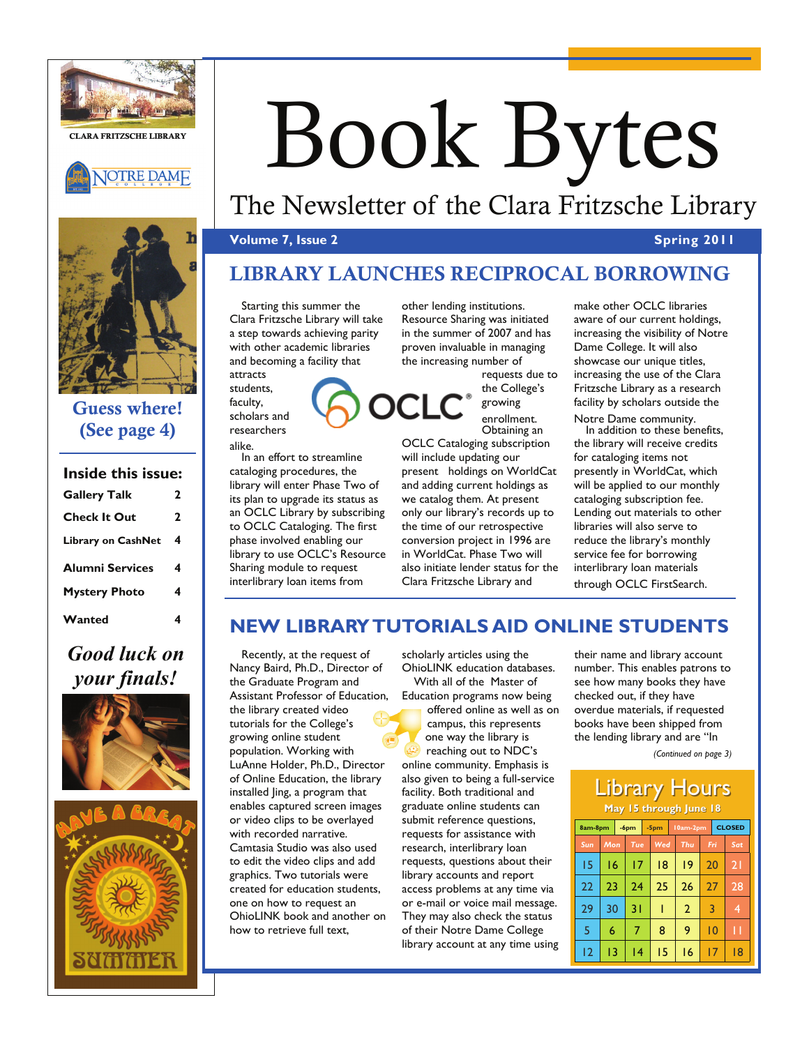

CLARA FRITZSCHE LIBRARY



h

# Book Bytes

## The Newsletter of the Clara Fritzsche Library

#### **Volume 7, Issue 2** Spring 2011 **Spring 2011**



Starting this summer the Clara Fritzsche Library will take a step towards achieving parity with other academic libraries and becoming a facility that attracts

students, faculty, scholars and researchers alike.

In an effort to streamline cataloging procedures, the library will enter Phase Two of its plan to upgrade its status as an OCLC Library by subscribing to OCLC Cataloging. The first phase involved enabling our library to use OCLC's Resource Sharing module to request interlibrary loan items from

other lending institutions. Resource Sharing was initiated in the summer of 2007 and has proven invaluable in managing the increasing number of

> requests due to the College's growing

enrollment. Obtaining an

OCLC Cataloging subscription will include updating our present holdings on WorldCat and adding current holdings as we catalog them. At present only our library's records up to the time of our retrospective conversion project in 1996 are in WorldCat. Phase Two will also initiate lender status for the Clara Fritzsche Library and

make other OCLC libraries aware of our current holdings, increasing the visibility of Notre Dame College. It will also showcase our unique titles, increasing the use of the Clara Fritzsche Library as a research facility by scholars outside the

Notre Dame community. In addition to these benefits, the library will receive credits for cataloging items not presently in WorldCat, which will be applied to our monthly cataloging subscription fee. Lending out materials to other libraries will also serve to reduce the library's monthly service fee for borrowing interlibrary loan materials through OCLC FirstSearch.

#### **NEW LIBRARY TUTORIALS AID ONLINE STUDENTS**

# *Good luck on your finals!*

**Mystery Photo 4** 

**Alumni Services 4** 

**Wanted 4** 

**Inside this issue: Gallery Talk 2 Check It Out 2 Library on CashNet 4** 

Guess where! (See page 4)





Recently, at the request of Nancy Baird, Ph.D., Director of the Graduate Program and Assistant Professor of Education, the library created video tutorials for the College's growing online student population. Working with LuAnne Holder, Ph.D., Director of Online Education, the library installed Jing, a program that enables captured screen images or video clips to be overlayed with recorded narrative. Camtasia Studio was also used to edit the video clips and add graphics. Two tutorials were created for education students, one on how to request an OhioLINK book and another on how to retrieve full text,

scholarly articles using the OhioLINK education databases. With all of the Master of Education programs now being

offered online as well as on campus, this represents one way the library is reaching out to NDC's online community. Emphasis is also given to being a full-service facility. Both traditional and graduate online students can submit reference questions, requests for assistance with research, interlibrary loan requests, questions about their library accounts and report access problems at any time via or e-mail or voice mail message. They may also check the status of their Notre Dame College library account at any time using

their name and library account number. This enables patrons to see how many books they have checked out, if they have overdue materials, if requested books have been shipped from the lending library and are "In

*(Continued on page 3)* 

| Library Hours<br>May 15 through June 18 |     |                 |  |        |                |                 |  |               |  |
|-----------------------------------------|-----|-----------------|--|--------|----------------|-----------------|--|---------------|--|
| 8am-8pm                                 |     | $-6pm$          |  | $-5pm$ |                | I0am-2pm        |  | <b>CLOSED</b> |  |
| Sun                                     | Mon | Tue             |  | Wed    | Thu            | Fri             |  | Sat           |  |
| 15                                      | 16  | 17              |  | 18     | 9              | 20              |  | 21            |  |
| 22                                      | 23  | 24              |  | 25     | 26             | 27              |  | 28            |  |
| 29                                      | 30  | 31              |  |        | $\overline{2}$ | 3               |  | 4             |  |
| 5                                       | 6   | 7               |  | 8      | 9              | $\overline{10}$ |  | П             |  |
| 12                                      | 13  | $\overline{14}$ |  | 15     | 16             | $\overline{17}$ |  | 18            |  |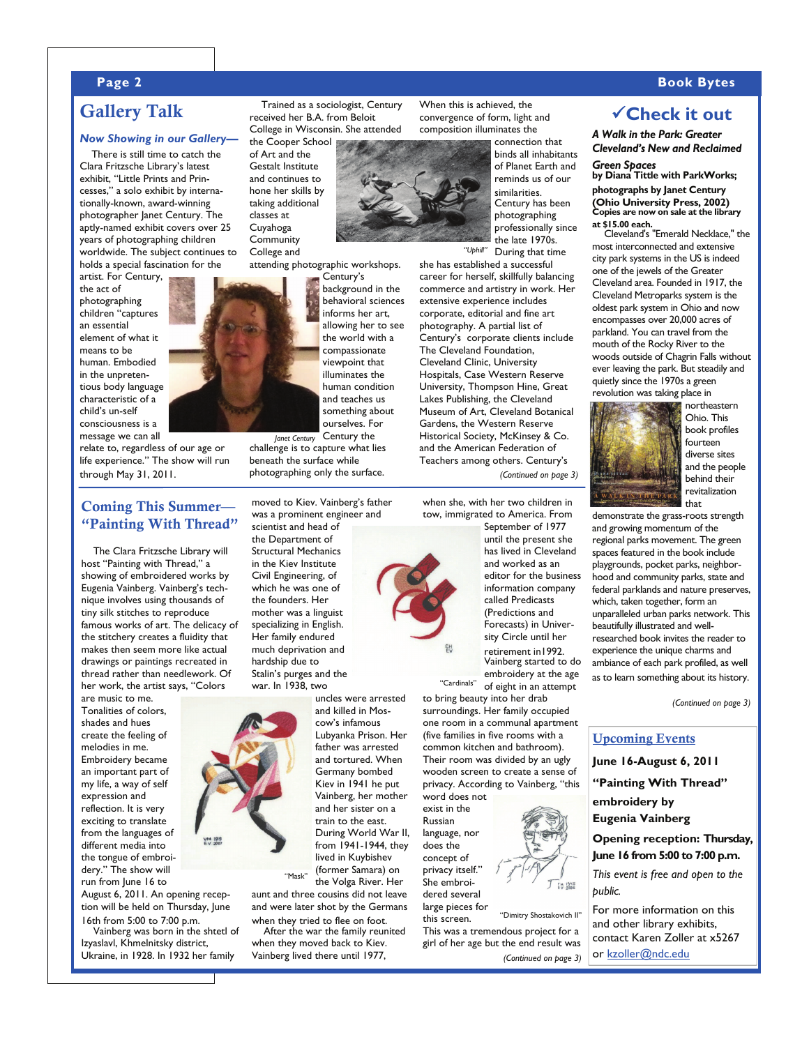#### **Page 2 Book Bytes**

#### Gallery Talk

#### *Now Showing in our Gallery—*

There is still time to catch the Clara Fritzsche Library's latest exhibit, "Little Prints and Princesses," a solo exhibit by internationally-known, award-winning photographer Janet Century. The aptly-named exhibit covers over 25 years of photographing children worldwide. The subject continues to holds a special fascination for the

artist. For Century, the act of photographing children "captures an essential element of what it means to be human. Embodied in the unpretentious body language characteristic of a child's un-self consciousness is a message we can all

relate to, regardless of our age or life experience." The show will run through May 31, 2011.

#### Coming This Summer— "Painting With Thread"

The Clara Fritzsche Library will host "Painting with Thread," a showing of embroidered works by Eugenia Vainberg. Vainberg's technique involves using thousands of tiny silk stitches to reproduce famous works of art. The delicacy of the stitchery creates a fluidity that makes then seem more like actual drawings or paintings recreated in thread rather than needlework. Of her work, the artist says, "Colors

are music to me. Tonalities of colors, shades and hues create the feeling of melodies in me. Embroidery became an important part of my life, a way of self expression and reflection. It is very exciting to translate from the languages of different media into the tongue of embroidery." The show will run from June 16 to

August 6, 2011. An opening reception will be held on Thursday, June 16th from 5:00 to 7:00 p.m.

Vainberg was born in the shtetl of Izyaslavl, Khmelnitsky district, Ukraine, in 1928. In 1932 her family

Trained as a sociologist, Century received her B.A. from Beloit College in Wisconsin. She attended

the Cooper School of Art and the Gestalt Institute and continues to hone her skills by taking additional classes at Cuyahoga Community College and

background in the behavioral sciences informs her art, allowing her to see the world with a compassionate viewpoint that illuminates the human condition and teaches us something about ourselves. For Century the *Janet Century* 

challenge is to capture what lies beneath the surface while photographing only the surface.

moved to Kiev. Vainberg's father was a prominent engineer and

scientist and head of the Department of Structural Mechanics in the Kiev Institute Civil Engineering, of which he was one of the founders. Her mother was a linguist specializing in English. Her family endured much deprivation and hardship due to Stalin's purges and the war. In 1938, two

> and killed in Moscow's infamous Lubyanka Prison. Her father was arrested and tortured. When Germany bombed Kiev in 1941 he put Vainberg, her mother and her sister on a train to the east. During World War II, from 1941-1944, they lived in Kuybishev (former Samara) on the Volga River. Her

aunt and three cousins did not leave and were later shot by the Germans

"Mask"

when they tried to flee on foot. After the war the family reunited when they moved back to Kiev. Vainberg lived there until 1977,

When this is achieved, the convergence of form, light and composition illuminates the connection that



attending photographic workshops.

Century's

of Planet Earth and reminds us of our similarities. Century has been photographing professionally since

binds all inhabitants

the late 1970s.

During that time she has established a successful career for herself, skillfully balancing commerce and artistry in work. Her extensive experience includes corporate, editorial and fine art photography. A partial list of Century's corporate clients include The Cleveland Foundation, Cleveland Clinic, University Hospitals, Case Western Reserve University, Thompson Hine, Great Lakes Publishing, the Cleveland Museum of Art, Cleveland Botanical Gardens, the Western Reserve Historical Society, McKinsey & Co. and the American Federation of Teachers among others. Century's *(Continued on page 3)* 

when she, with her two children in tow, immigrated to America. From

September of 1977 until the present she has lived in Cleveland and worked as an editor for the business information company called Predicasts (Predictions and Forecasts) in University Circle until her retirement in1992. Vainberg started to do embroidery at the age of eight in an attempt "Cardinals"

to bring beauty into her drab surroundings. Her family occupied one room in a communal apartment (five families in five rooms with a common kitchen and bathroom). Their room was divided by an ugly wooden screen to create a sense of privacy. According to Vainberg, "this word does not

exist in the Russian language, nor does the concept of privacy itself.' She embroidered several

large pieces for this screen. This was a tremendous project for a "Dimitry Shostakovich II"

girl of her age but the end result was *(Continued on page 3)* 

EM 1945



*A Walk in the Park: Greater Cleveland's New and Reclaimed Green Spaces* 

**by Diana Tittle with ParkWorks; photographs by Janet Century (Ohio University Press, 2002) Copies are now on sale at the library at \$15.00 each.** 

Cleveland's "Emerald Necklace," the most interconnected and extensive city park systems in the US is indeed one of the jewels of the Greater Cleveland area. Founded in 1917, the Cleveland Metroparks system is the oldest park system in Ohio and now encompasses over 20,000 acres of parkland. You can travel from the mouth of the Rocky River to the woods outside of Chagrin Falls without ever leaving the park. But steadily and quietly since the 1970s a green revolution was taking place in



northeastern Ohio. This book profiles fourteen diverse sites and the people behind their revitalization that

demonstrate the grass-roots strength and growing momentum of the regional parks movement. The green spaces featured in the book include playgrounds, pocket parks, neighborhood and community parks, state and federal parklands and nature preserves, which, taken together, form an unparalleled urban parks network. This beautifully illustrated and wellresearched book invites the reader to experience the unique charms and ambiance of each park profiled, as well as to learn something about its history.

*(Continued on page 3)* 

#### Upcoming Events **June 16-August 6, 2011 "Painting With Thread" embroidery by Eugenia Vainberg Opening reception: Thursday, June 16 from 5:00 to 7:00 p.m.** *This event is free and open to the public.*  For more information on this and other library exhibits, contact Karen Zoller at x5267

or [kzoller@ndc.edu](mailto:kzoller@ndc.edu?subject=Upcoming%20Library%20Events)



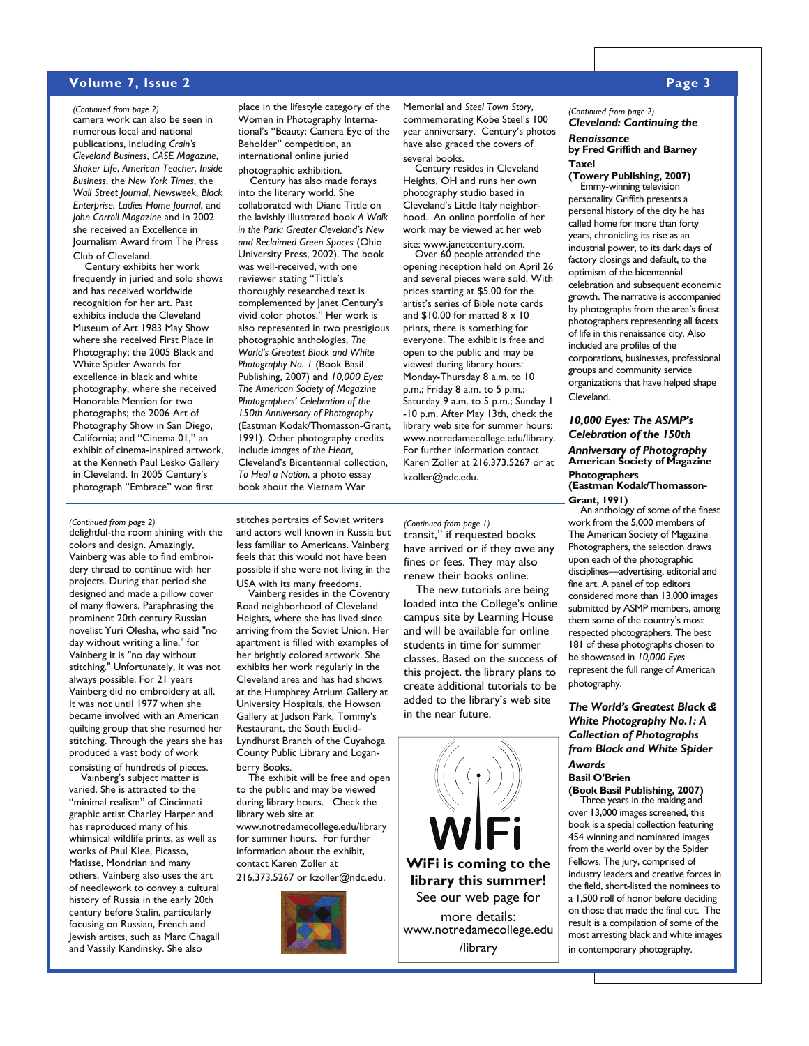#### **Volume 7, Issue 2 Page 3**

(Continued from page 2)<br>camera work can also be seen in numerous local and national publications, including *Crain's Cleveland Business*, *CASE Magazine*, *Shaker Life*, *American Teacher*, *Inside Business*, the *New York Times*, the *Wall Street Journal*, *Newsweek*, *Black Enterprise*, *Ladies Home Journal*, and *John Carroll Magazine* and in 2002 she received an Excellence in Journalism Award from The Press Club of Cleveland.

Century exhibits her work frequently in juried and solo shows and has received worldwide recognition for her art. Past exhibits include the Cleveland Museum of Art 1983 May Show where she received First Place in Photography; the 2005 Black and White Spider Awards for excellence in black and white photography, where she received Honorable Mention for two photographs; the 2006 Art of Photography Show in San Diego, California; and "Cinema 01," an exhibit of cinema-inspired artwork, at the Kenneth Paul Lesko Gallery in Cleveland. In 2005 Century's photograph "Embrace" won first

place in the lifestyle category of the .<br>Women in Photography International's "Beauty: Camera Eye of the Beholder" competition, an international online juried

photographic exhibition. Century has also made forays into the literary world. She collaborated with Diane Tittle on the lavishly illustrated book *A Walk in the Park: Greater Cleveland's New and Reclaimed Green Spaces* (Ohio University Press, 2002). The book was well-received, with one reviewer stating "Tittle's thoroughly researched text is complemented by Janet Century's vivid color photos." Her work is also represented in two prestigious photographic anthologies, *The World's Greatest Black and White Photography No. 1* (Book Basil Publishing, 2007) and *10,000 Eyes: The American Society of Magazine Photographers' Celebration of the 150th Anniversary of Photography*  (Eastman Kodak/Thomasson-Grant, 1991). Other photography credits include *Images of the Heart,* Cleveland's Bicentennial collection, *To Heal a Nation*, a photo essay book about the Vietnam War

Memorial and *Steel Town Story*, commemorating Kobe Steel's 100 year anniversary. Century's photos have also graced the covers of several books.

Century resides in Cleveland Heights, OH and runs her own photography studio based in Cleveland's Little Italy neighborhood. An online portfolio of her work may be viewed at her web site: www.janetcentury.com.

Over 60 people attended the opening reception held on April 26 and several pieces were sold. With prices starting at \$5.00 for the artist's series of Bible note cards and  $$10.00$  for matted  $8 \times 10$ prints, there is something for everyone. The exhibit is free and open to the public and may be viewed during library hours: Monday-Thursday 8 a.m. to 10 p.m.; Friday 8 a.m. to 5 p.m.; Saturday 9 a.m. to 5 p.m.; Sunday 1 -10 p.m. After May 13th, check the library web site for summer hours: www.notredamecollege.edu/library. For further information contact Karen Zoller at 216.373.5267 or at [kzoller@ndc.edu.](mailto:kzoller@ndc.edu?subject=Century%20Exhibit)

*(Continued from page 1)* 

transit," if requested books have arrived or if they owe any fines or fees. They may also renew their books online.

The new tutorials are being loaded into the College's online campus site by Learning House and will be available for online students in time for summer classes. Based on the success of this project, the library plans to create additional tutorials to be added to the library's web site in the near future.



*Cleveland: Continuing the (Continued from page 2)* 

#### *Renaissance*  **by Fred Griffith and Barney**

**Taxel (Towery Publishing, 2007)** 

Emmy-winning television personality Griffith presents a personal history of the city he has called home for more than forty years, chronicling its rise as an industrial power, to its dark days of factory closings and default, to the optimism of the bicentennial celebration and subsequent economic growth. The narrative is accompanied by photographs from the area's finest photographers representing all facets of life in this renaissance city. Also included are profiles of the corporations, businesses, professional groups and community service organizations that have helped shape Cleveland.

#### *10,000 Eyes: The ASMP's Celebration of the 150th*

# *Anniversary of Photography*  **American Society of Magazine**

**Photographers (Eastman Kodak/Thomasson-Grant, 1991)** 

An anthology of some of the finest work from the 5,000 members of The American Society of Magazine Photographers, the selection draws upon each of the photographic disciplines—advertising, editorial and fine art. A panel of top editors considered more than 13,000 images submitted by ASMP members, among them some of the country's most respected photographers. The best 181 of these photographs chosen to be showcased in *10,000 Eyes*  represent the full range of American photography.

*The World's Greatest Black & White Photography No.1: A Collection of Photographs from Black and White Spider Awards* 

#### **Basil O'Brien**

**(Book Basil Publishing, 2007)**  Three years in the making and

over 13,000 images screened, this book is a special collection featuring 454 winning and nominated images from the world over by the Spider Fellows. The jury, comprised of industry leaders and creative forces in the field, short-listed the nominees to a 1,500 roll of honor before deciding on those that made the final cut. The result is a compilation of some of the most arresting black and white images in contemporary photography.

(Continued from page 2)<br>delightful-the room shining with the colors and design. Amazingly, Vainberg was able to find embroidery thread to continue with her projects. During that period she designed and made a pillow cover of many flowers. Paraphrasing the prominent 20th century Russian novelist Yuri Olesha, who said "no day without writing a line," for Vainberg it is "no day without stitching." Unfortunately, it was not always possible. For 21 years Vainberg did no embroidery at all. It was not until 1977 when she became involved with an American quilting group that she resumed her stitching. Through the years she has produced a vast body of work consisting of hundreds of pieces.

Vainberg's subject matter is varied. She is attracted to the "minimal realism" of Cincinnati graphic artist Charley Harper and has reproduced many of his whimsical wildlife prints, as well as works of Paul Klee, Picasso, Matisse, Mondrian and many others. Vainberg also uses the art of needlework to convey a cultural history of Russia in the early 20th century before Stalin, particularly focusing on Russian, French and Jewish artists, such as Marc Chagall and Vassily Kandinsky. She also

stitches portraits of Soviet writers and actors well known in Russia but less familiar to Americans. Vainberg feels that this would not have been possible if she were not living in the USA with its many freedoms.

Vainberg resides in the Coventry Road neighborhood of Cleveland Heights, where she has lived since arriving from the Soviet Union. Her apartment is filled with examples of her brightly colored artwork. She exhibits her work regularly in the Cleveland area and has had shows at the Humphrey Atrium Gallery at University Hospitals, the Howson Gallery at Judson Park, Tommy's Restaurant, the South Euclid-Lyndhurst Branch of the Cuyahoga County Public Library and Loganberry Books.

The exhibit will be free and open to the public and may be viewed during library hours. Check the library web site at www.notredamecollege.edu/library for summer hours. For further

information about the exhibit, contact Karen Zoller at

216.373.5267 or [kzoller@ndc.edu](mailto:kzoller@ndc.edu?subject=Vainberg%20Exhibit).